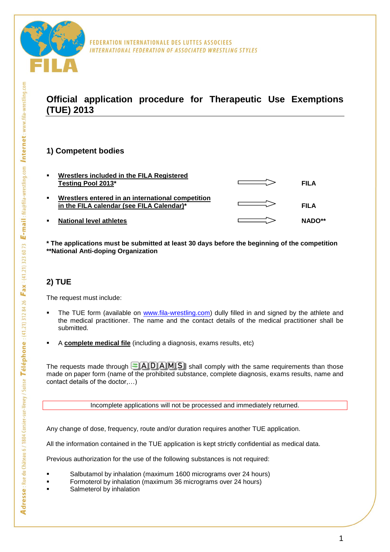

## **Official application procedure for Therapeutic Use Exemptions (TUE) 2013**

FEDERATION INTERNATIONALE DES LUTTES ASSOCIEES

INTERNATIONAL FEDERATION OF ASSOCIATED WRESTLING STYLES

## **1) Competent bodies**

| п.             | Wrestlers included in the FILA Registered<br>Testing Pool 2013*                                | FILA        |
|----------------|------------------------------------------------------------------------------------------------|-------------|
| п.             | Wrestlers entered in an international competition<br>in the FILA calendar (see FILA Calendar)* | <b>FILA</b> |
| $\blacksquare$ | <b>National level athletes</b>                                                                 | NADO**      |

**\* The applications must be submitted at least 30 days before the beginning of the competition \*\*National Anti-doping Organization**

## **2) TUE**

The request must include:

- The TUE form (available on [www.fila-wrestling.com\)](http://www.fila-wrestling.com/) dully filled in and signed by the athlete and the medical practitioner. The name and the contact details of the medical practitioner shall be submitted.
- A **complete medical file** (including a diagnosis, exams results, etc)

The requests made through  $\blacksquare$  A D A M  $\blacksquare$  shall comply with the same requirements than those made on paper form (name of the prohibited substance, complete diagnosis, exams results, name and contact details of the doctor,…)

Incomplete applications will not be processed and immediately returned.

Any change of dose, frequency, route and/or duration requires another TUE application.

All the information contained in the TUE application is kept strictly confidential as medical data.

Previous authorization for the use of the following substances is not required:

- Salbutamol by inhalation (maximum 1600 micrograms over 24 hours)
- Formoterol by inhalation (maximum 36 micrograms over 24 hours)
- Salmeterol by inhalation